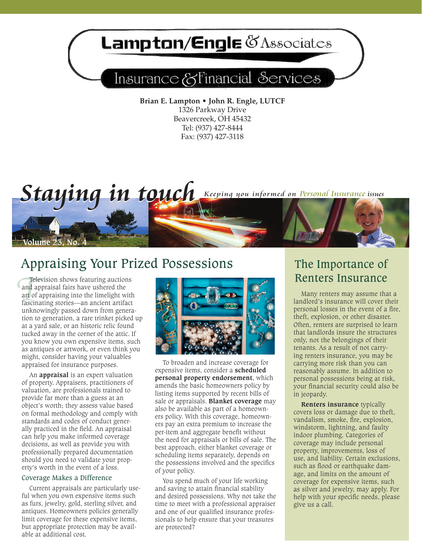# Lampton/Engle & Associates

## Insurance & Financial Services

**Brian E. Lampton • John R. Engle, LUTCF** 1326 Parkway Drive Beavercreek, OH 45432 Tel: (937) 427-8444 Fax: (937) 427-3118

Staying in touch Keeping you informed on Personal Insurance issues



Tel<br>
and a<br>
art of<br>
fascin<br>
unkn Television shows featuring auctions and appraisal fairs have ushered the art of appraising into the limelight with fascinating stories—an ancient artifact unknowingly passed down from generation to generation, a rare trinket picked up at a yard sale, or an historic relic found tucked away in the corner of the attic. If you know you own expensive items, such as antiques or artwork, or even think you might, consider having your valuables appraised for insurance purposes.

**Volume 23, No. 4**

An **appraisal** is an expert valuation of property. Appraisers, practitioners of valuation, are professionals trained to provide far more than a guess at an object's worth; they assess value based on formal methodology and comply with standards and codes of conduct generally practiced in the field. An appraisal can help you make informed coverage decisions, as well as provide you with professionally prepared documentation should you need to validate your property's worth in the event of a loss.

#### Coverage Makes a Difference

Current appraisals are particularly useful when you own expensive items such as furs, jewelry, gold, sterling silver, and antiques. Homeowners policies generally limit coverage for these expensive items, but appropriate protection may be available at additional cost.



To broaden and increase coverage for expensive items, consider a **scheduled personal property endorsement**, which amends the basic homeowners policy by listing items supported by recent bills of sale or appraisals. **Blanket coverage** may also be available as part of a homeowners policy. With this coverage, homeowners pay an extra premium to increase the per-item and aggregate benefit without the need for appraisals or bills of sale. The best approach, either blanket coverage or scheduling items separately, depends on the possessions involved and the specifics of your policy.

You spend much of your life working and saving to attain financial stability and desired possessions. Why not take the time to meet with a professional appraiser and one of our qualified insurance professionals to help ensure that your treasures are protected?

### The Importance of Renters Insurance

Many renters may assume that a landlord's insurance will cover their personal losses in the event of a fire, theft, explosion, or other disaster. Often, renters are surprised to learn that landlords insure the structures only, not the belongings of their tenants. As a result of not carrying renters insurance, you may be carrying more risk than you can reasonably assume. In addition to personal possessions being at risk, your financial security could also be in jeopardy.

**Renters insurance** typically covers loss or damage due to theft, vandalism, smoke, fire, explosion, windstorm, lightning, and faulty indoor plumbing. Categories of coverage may include personal property, improvements, loss of use, and liability. Certain exclusions, such as flood or earthquake damage, and limits on the amount of coverage for expensive items, such as silver and jewelry, may apply. For help with your specific needs, please give us a call.